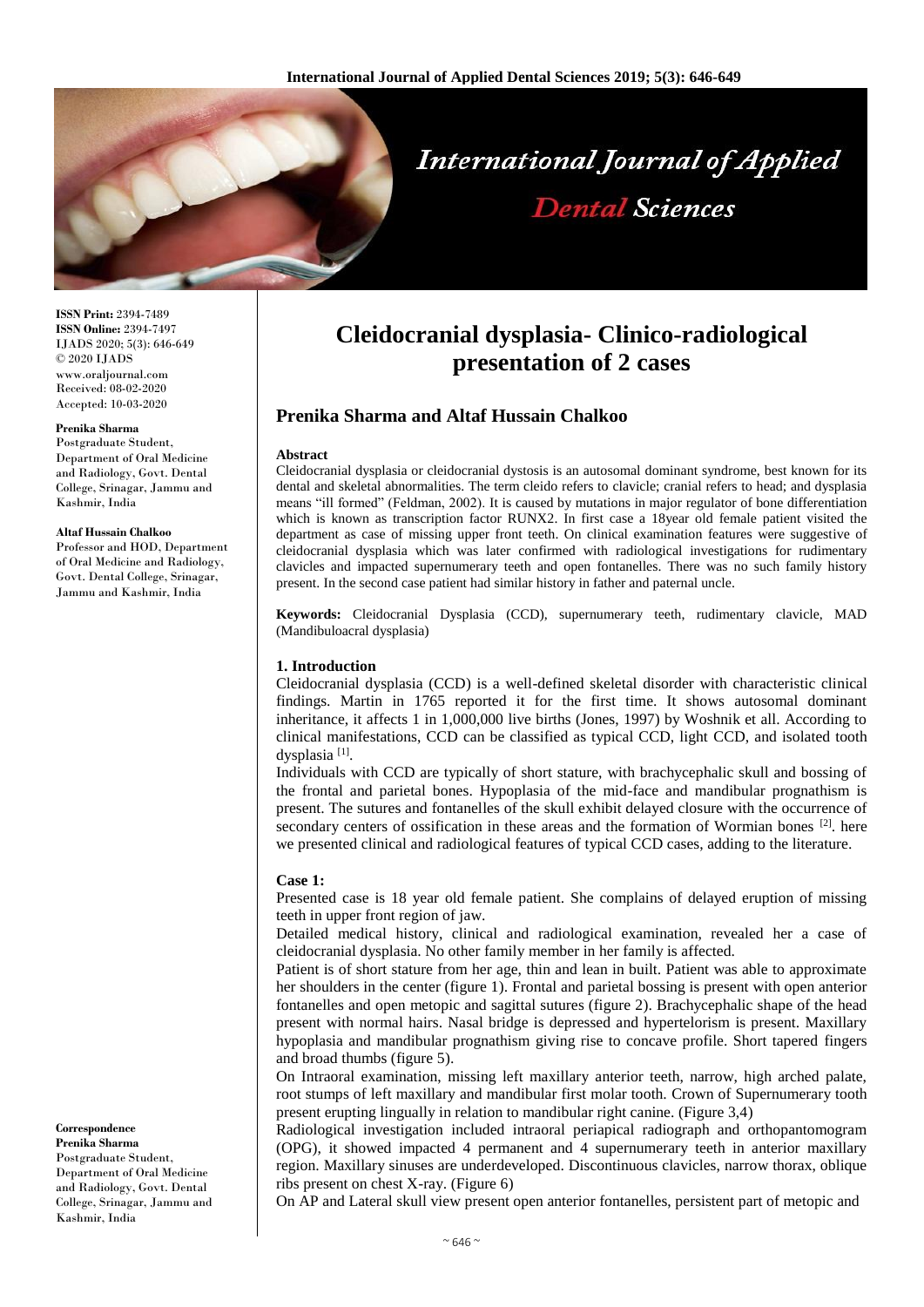

**ISSN Print:** 2394-7489 **ISSN Online:** 2394-7497 IJADS 2020; 5(3): 646-649 © 2020 IJADS www.oraljournal.com Received: 08-02-2020 Accepted: 10-03-2020

#### **Prenika Sharma**

Postgraduate Student, Department of Oral Medicine and Radiology, Govt. Dental College, Srinagar, Jammu and Kashmir, India

#### **Altaf Hussain Chalkoo**

Professor and HOD, Department of Oral Medicine and Radiology, Govt. Dental College, Srinagar, Jammu and Kashmir, India

#### **Correspondence Prenika Sharma** Postgraduate Student, Department of Oral Medicine and Radiology, Govt. Dental College, Srinagar, Jammu and Kashmir, India

# **Cleidocranial dysplasia- Clinico-radiological presentation of 2 cases**

# **Prenika Sharma and Altaf Hussain Chalkoo**

#### **Abstract**

Cleidocranial dysplasia or cleidocranial dystosis is an autosomal dominant syndrome, best known for its dental and skeletal abnormalities. The term cleido refers to clavicle; cranial refers to head; and dysplasia means "ill formed" (Feldman, 2002). It is caused by mutations in major regulator of bone differentiation which is known as transcription factor RUNX2. In first case a 18year old female patient visited the department as case of missing upper front teeth. On clinical examination features were suggestive of cleidocranial dysplasia which was later confirmed with radiological investigations for rudimentary clavicles and impacted supernumerary teeth and open fontanelles. There was no such family history present. In the second case patient had similar history in father and paternal uncle.

**Keywords:** Cleidocranial Dysplasia (CCD), supernumerary teeth, rudimentary clavicle, MAD (Mandibuloacral dysplasia)

## **1. Introduction**

Cleidocranial dysplasia (CCD) is a well-defined skeletal disorder with characteristic clinical findings. Martin in 1765 reported it for the first time. It shows autosomal dominant inheritance, it affects 1 in 1,000,000 live births (Jones, 1997) by Woshnik et all. According to clinical manifestations, CCD can be classified as typical CCD, light CCD, and isolated tooth dysplasia<sup>[1]</sup>.

Individuals with CCD are typically of short stature, with brachycephalic skull and bossing of the frontal and parietal bones. Hypoplasia of the mid-face and mandibular prognathism is present. The sutures and fontanelles of the skull exhibit delayed closure with the occurrence of secondary centers of ossification in these areas and the formation of Wormian bones [2]. here we presented clinical and radiological features of typical CCD cases, adding to the literature.

## **Case 1:**

Presented case is 18 year old female patient. She complains of delayed eruption of missing teeth in upper front region of jaw.

Detailed medical history, clinical and radiological examination, revealed her a case of cleidocranial dysplasia. No other family member in her family is affected.

Patient is of short stature from her age, thin and lean in built. Patient was able to approximate her shoulders in the center (figure 1). Frontal and parietal bossing is present with open anterior fontanelles and open metopic and sagittal sutures (figure 2). Brachycephalic shape of the head present with normal hairs. Nasal bridge is depressed and hypertelorism is present. Maxillary hypoplasia and mandibular prognathism giving rise to concave profile. Short tapered fingers and broad thumbs (figure 5).

On Intraoral examination, missing left maxillary anterior teeth, narrow, high arched palate, root stumps of left maxillary and mandibular first molar tooth. Crown of Supernumerary tooth present erupting lingually in relation to mandibular right canine. (Figure 3,4)

Radiological investigation included intraoral periapical radiograph and orthopantomogram (OPG), it showed impacted 4 permanent and 4 supernumerary teeth in anterior maxillary region. Maxillary sinuses are underdeveloped. Discontinuous clavicles, narrow thorax, oblique ribs present on chest X-ray. (Figure 6)

On AP and Lateral skull view present open anterior fontanelles, persistent part of metopic and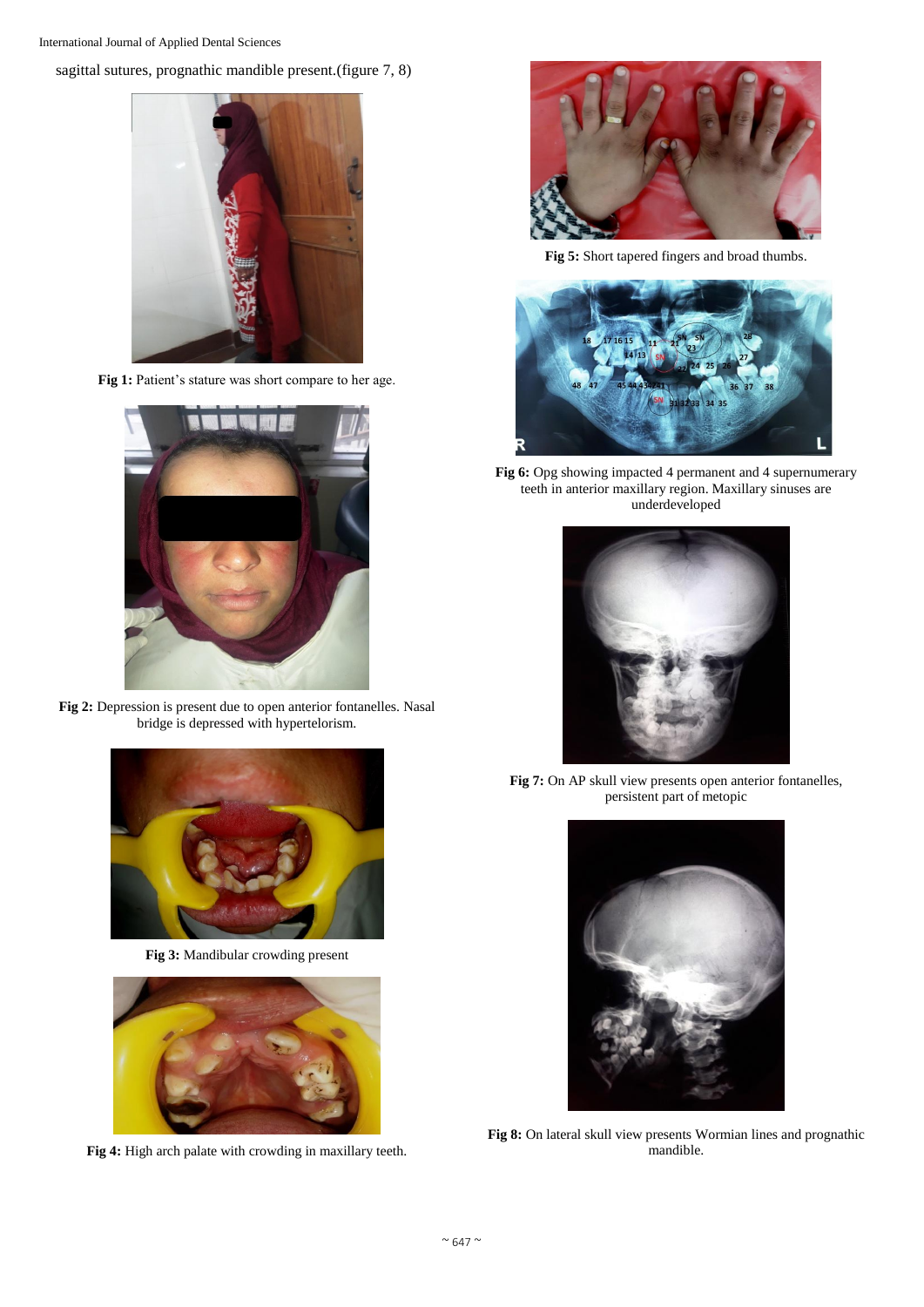sagittal sutures, prognathic mandible present.(figure 7, 8)



Fig 1: Patient's stature was short compare to her age.



**Fig 2:** Depression is present due to open anterior fontanelles. Nasal bridge is depressed with hypertelorism.



**Fig 3:** Mandibular crowding present



**Fig 4:** High arch palate with crowding in maxillary teeth.



**Fig 5:** Short tapered fingers and broad thumbs.



**Fig 6:** Opg showing impacted 4 permanent and 4 supernumerary teeth in anterior maxillary region. Maxillary sinuses are underdeveloped



**Fig 7:** On AP skull view presents open anterior fontanelles, persistent part of metopic



**Fig 8:** On lateral skull view presents Wormian lines and prognathic mandible.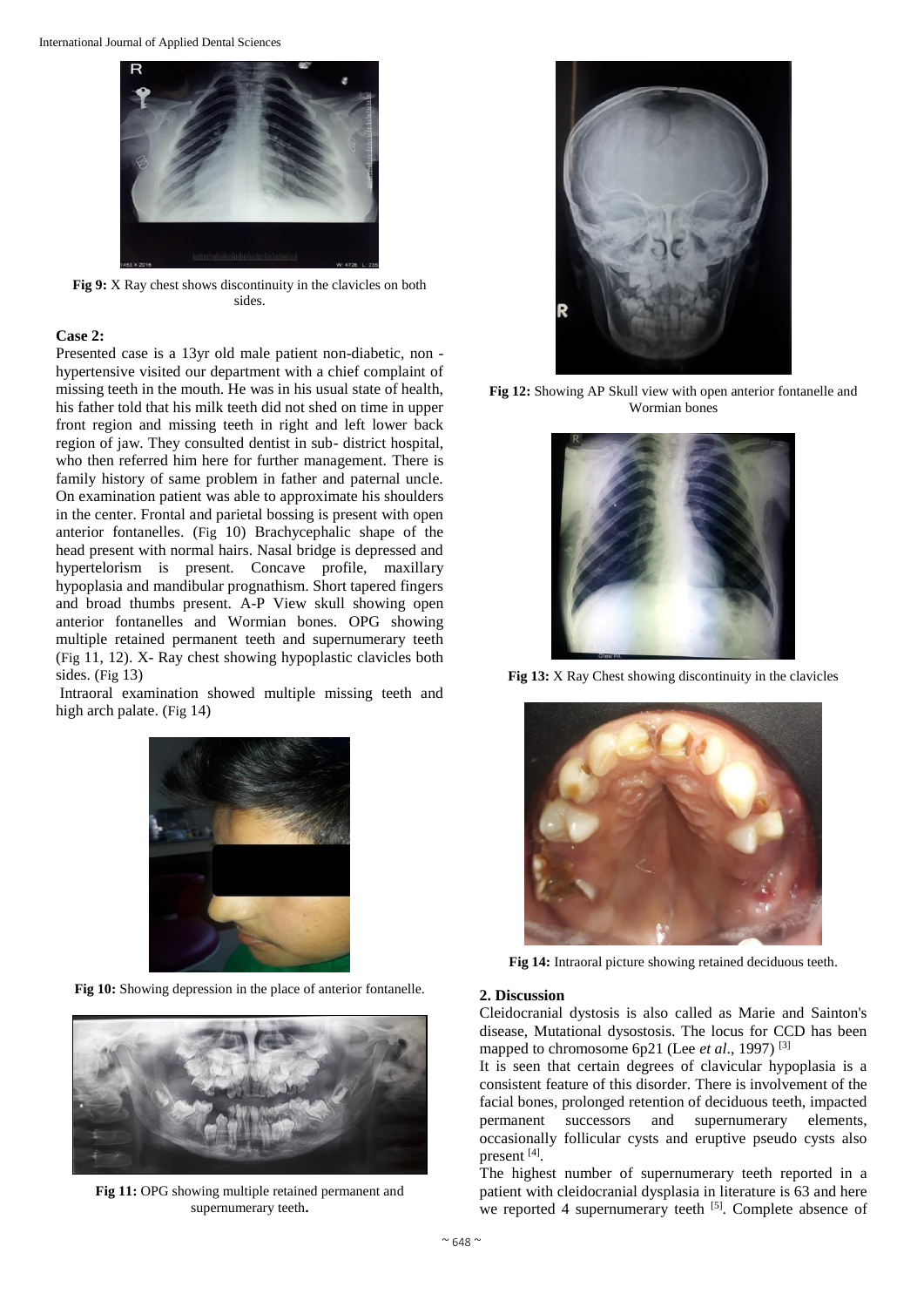International Journal of Applied Dental Sciences



**Fig 9:** X Ray chest shows discontinuity in the clavicles on both sides.

## **Case 2:**

Presented case is a 13yr old male patient non-diabetic, non hypertensive visited our department with a chief complaint of missing teeth in the mouth. He was in his usual state of health, his father told that his milk teeth did not shed on time in upper front region and missing teeth in right and left lower back region of jaw. They consulted dentist in sub- district hospital, who then referred him here for further management. There is family history of same problem in father and paternal uncle. On examination patient was able to approximate his shoulders in the center. Frontal and parietal bossing is present with open anterior fontanelles. (Fig 10) Brachycephalic shape of the head present with normal hairs. Nasal bridge is depressed and hypertelorism is present. Concave profile, maxillary hypoplasia and mandibular prognathism. Short tapered fingers and broad thumbs present. A-P View skull showing open anterior fontanelles and Wormian bones. OPG showing multiple retained permanent teeth and supernumerary teeth (Fig 11, 12). X- Ray chest showing hypoplastic clavicles both sides. (Fig 13)

Intraoral examination showed multiple missing teeth and high arch palate. (Fig 14)



**Fig 10:** Showing depression in the place of anterior fontanelle.



**Fig 11:** OPG showing multiple retained permanent and supernumerary teeth**.**



**Fig 12:** Showing AP Skull view with open anterior fontanelle and Wormian bones



**Fig 13:** X Ray Chest showing discontinuity in the clavicles



**Fig 14:** Intraoral picture showing retained deciduous teeth.

## **2. Discussion**

Cleidocranial dystosis is also called as Marie and Sainton's disease, Mutational dysostosis. The locus for CCD has been mapped to chromosome 6p21 (Lee *et al*., 1997) [3]

It is seen that certain degrees of clavicular hypoplasia is a consistent feature of this disorder. There is involvement of the facial bones, prolonged retention of deciduous teeth, impacted permanent successors and supernumerary elements, occasionally follicular cysts and eruptive pseudo cysts also present [4].

The highest number of supernumerary teeth reported in a patient with cleidocranial dysplasia in literature is 63 and here we reported 4 supernumerary teeth <sup>[5]</sup>. Complete absence of